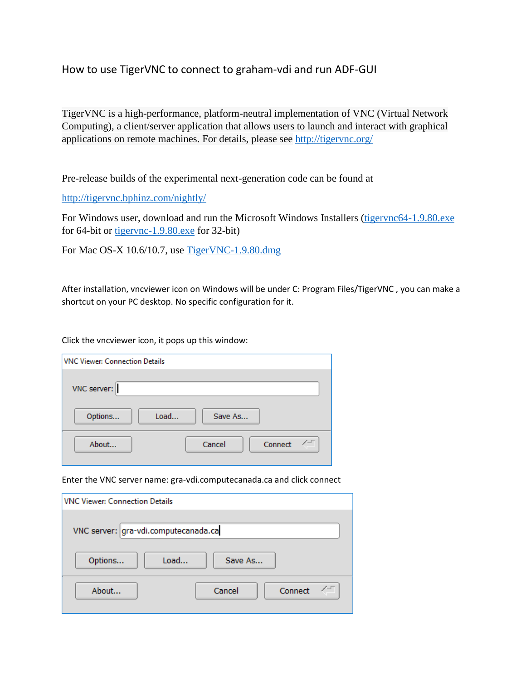## How to use TigerVNC to connect to graham-vdi and run ADF-GUI

TigerVNC is a high-performance, platform-neutral implementation of VNC (Virtual Network Computing), a client/server application that allows users to launch and interact with graphical applications on remote machines. For details, please see <http://tigervnc.org/>

Pre-release builds of the experimental next-generation code can be found at

<http://tigervnc.bphinz.com/nightly/>

For Windows user, download and run the Microsoft Windows Installers [\(tigervnc64-1.9.80.exe](http://tigervnc.bphinz.com/nightly/windows/tigervnc64-1.9.80.exe)) for 64-bit or [tigervnc-1.9.80.exe](http://tigervnc.bphinz.com/nightly/windows/tigervnc-1.9.80.exe) for 32-bit)

For Mac OS-X 10.6/10.7, use [TigerVNC-1.9.80.dmg](http://tigervnc.bphinz.com/nightly/osx/TigerVNC-1.9.80.dmg)

After installation, vncviewer icon on Windows will be under C: Program Files/TigerVNC , you can make a shortcut on your PC desktop. No specific configuration for it.

Click the vncviewer icon, it pops up this window:

| VNC Viewer: Connection Details |  |  |  |
|--------------------------------|--|--|--|
| VNC server:                    |  |  |  |
| Load<br>Save As<br>Options     |  |  |  |
| About<br>Cancel<br>Connect     |  |  |  |

Enter the VNC server name: gra-vdi.computecanada.ca and click connect

| <b>VNC Viewer: Connection Details</b> |                   |  |  |  |  |
|---------------------------------------|-------------------|--|--|--|--|
| VNC server: gra-vdi.computecanada.ca  |                   |  |  |  |  |
| Load<br>Options                       | Save As           |  |  |  |  |
| About                                 | Cancel<br>Connect |  |  |  |  |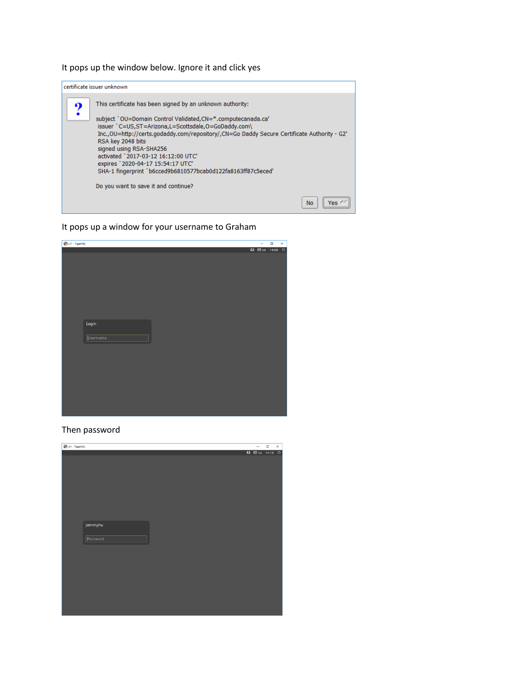It pops up the window below. Ignore it and click yes



It pops up a window for your username to Graham

| x11 - TigerVNC  | $\overline{\phantom{a}}$ | $\Box$ | $\times$ |
|-----------------|--------------------------|--------|----------|
|                 | 63 囲 us 14:08 ①          |        |          |
|                 |                          |        |          |
|                 |                          |        |          |
|                 |                          |        |          |
|                 |                          |        |          |
|                 |                          |        |          |
|                 |                          |        |          |
|                 |                          |        |          |
|                 |                          |        |          |
|                 |                          |        |          |
| Login           |                          |        |          |
|                 |                          |        |          |
| <b>Username</b> |                          |        |          |
|                 |                          |        |          |
|                 |                          |        |          |
|                 |                          |        |          |
|                 |                          |        |          |
|                 |                          |        |          |
|                 |                          |        |          |
|                 |                          |        |          |
|                 |                          |        |          |
|                 |                          |        |          |
|                 |                          |        |          |
|                 |                          |        |          |

Then password

| x11 - TigerVNC |                   | $\Box$ | $\times$ |
|----------------|-------------------|--------|----------|
|                | 63 图 us 14:10 (D) |        |          |
|                |                   |        |          |
|                |                   |        |          |
|                |                   |        |          |
|                |                   |        |          |
|                |                   |        |          |
|                |                   |        |          |
|                |                   |        |          |
|                |                   |        |          |
|                |                   |        |          |
| jemmyhu        |                   |        |          |
|                |                   |        |          |
| Password       |                   |        |          |
|                |                   |        |          |
|                |                   |        |          |
|                |                   |        |          |
|                |                   |        |          |
|                |                   |        |          |
|                |                   |        |          |
|                |                   |        |          |
|                |                   |        |          |
|                |                   |        |          |
|                |                   |        |          |
|                |                   |        |          |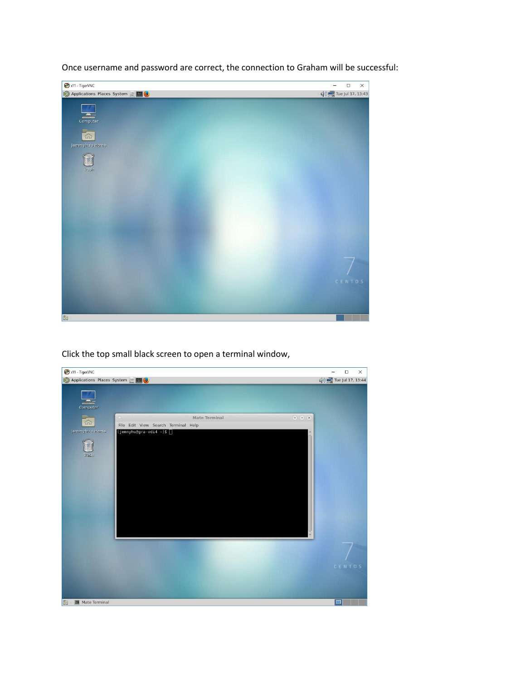

Once username and password are correct, the connection to Graham will be successful:

Click the top small black screen to open a terminal window,

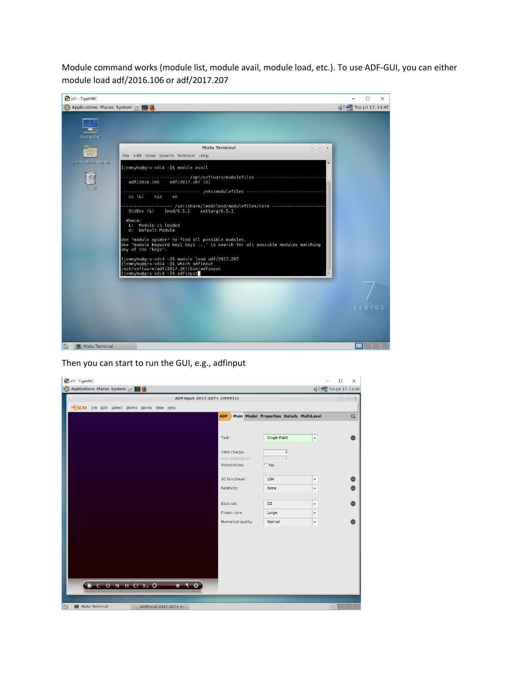Module command works (module list, module avail, module load, etc.). To use ADF-GUI, you can either module load adf/2016.106 or adf/2017.207



Then you can start to run the GUI, e.g., adfinput

| x11 - TigerVNC                               |                    |                                          | $\times$<br>$\Box$          |
|----------------------------------------------|--------------------|------------------------------------------|-----------------------------|
| Applications Places System & E               |                    |                                          | (b) Tue Jul 17, 13:46       |
| ADFinput 2017.207+ (r59931)                  |                    |                                          | $\odot$ (x) (x)             |
| G SCM Eile Edit Select Atoms Bonds View Help |                    |                                          |                             |
|                                              | <b>ADF</b>         | Main Model Properties Details MultiLevel | $\hbox{\tt Q}$              |
|                                              |                    |                                          |                             |
|                                              | Task:              |                                          |                             |
|                                              |                    | Single Point                             | $\blacktriangledown$        |
|                                              | Total charge:      | $\mathsf{O}$                             |                             |
|                                              | Spin polarization: | $\overline{0}$                           |                             |
|                                              | Unrestricted:      | $\Gamma$ Yes                             |                             |
|                                              | XC functional:     | LDA                                      | $\overline{\phantom{a}}$    |
|                                              | Relativity:        | None                                     | $\blacktriangledown$        |
|                                              |                    |                                          |                             |
|                                              | Basis set:         | DZ                                       | ۰                           |
|                                              | Frozen core:       | Large                                    | $\overline{\phantom{a}}$    |
|                                              | Numerical quality: | Normal                                   | $\overline{\phantom{a}}$    |
|                                              |                    |                                          |                             |
|                                              |                    |                                          |                             |
|                                              |                    |                                          |                             |
|                                              |                    |                                          |                             |
|                                              |                    |                                          |                             |
|                                              |                    |                                          |                             |
|                                              |                    |                                          |                             |
| <b>NCONHCIXVO</b>                            |                    |                                          |                             |
|                                              |                    |                                          |                             |
| Mate Terminal<br>ADFinput 2017.207+ (r<br>阮  |                    |                                          | $\mathcal{D}_{\mathcal{N}}$ |